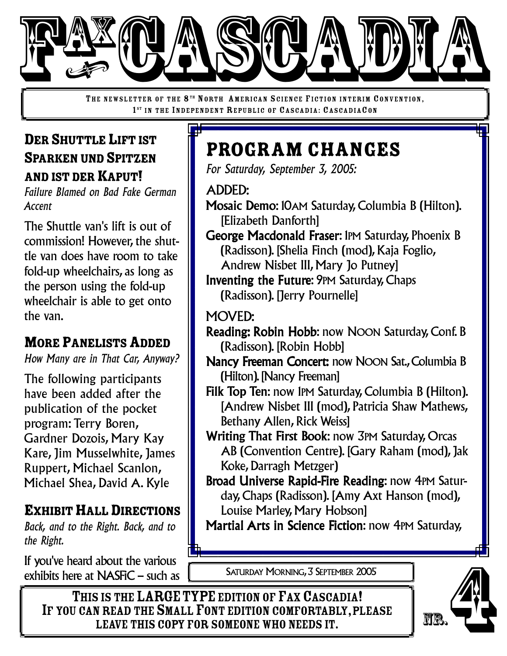

THE NEWSLETTER OF THE 8<sup>TH</sup> NORTH AMERICAN SCIENCE FICTION INTERIM CONVENTION, 1<sup>ST</sup> IN THE INDEPENDENT REPUBLIC OF CASCADIA: CASCADIACON

#### DER SHUTTLE LIFT IST SPARKEN UND SPITZEN AND IST DER KAPUT!

*Failure Blamed on Bad Fake German Accent*

The Shuttle van's lift is out of commission! However, the shuttle van does have room to take fold-up wheelchairs, as long as the person using the fold-up wheelchair is able to get onto the van.

## MORE PANELISTS ADDED

*How Many are in That Car, Anyway?*

The following participants have been added after the publication of the pocket program: Terry Boren, Gardner Dozois, Mary Kay Kare, Jim Musselwhite, James Ruppert, Michael Scanlon, Michael Shea, David A. Kyle

## EXHIBIT HALL DIRECTIONS

*Back, and to the Right. Back, and to the Right.*

If you've heard about the various exhibits here at NASFiC – such as

# Program Changes

*For Saturday, September 3, 2005:*

ADDED:

- Mosaic Demo: 10AM Saturday, Columbia B (Hilton). [Elizabeth Danforth]
- George Macdonald Fraser: 1PM Saturday, Phoenix B (Radisson). [Shelia Finch (mod), Kaja Foglio,
	- Andrew Nisbet III, Mary Jo Putney]
- Inventing the Future: 9PM Saturday, Chaps (Radisson). [Jerry Pournelle]
- MOVED:
- Reading: Robin Hobb: now NOON Saturday, Conf. B (Radisson). [Robin Hobb]
- Nancy Freeman Concert: now NOON Sat., Columbia B (Hilton).[Nancy Freeman]
- Filk Top Ten: now 1PM Saturday, Columbia B (Hilton). [Andrew Nisbet III (mod), Patricia Shaw Mathews, Bethany Allen, Rick Weiss]
- Writing That First Book: now 3PM Saturday, Orcas AB (Convention Centre). [Gary Raham (mod), Jak Koke, Darragh Metzger)
- Broad Universe Rapid-Fire Reading: now 4PM Saturday, Chaps (Radisson). [Amy Axt Hanson (mod), Louise Marley, Mary Hobson]

Martial Arts in Science Fiction: now 4PM Saturday,

SATURDAY MORNING, 3 SEPTEMBER 2005

THIS IS THE LARGE TYPE EDITION OF FAX CASCADIA! IF YOU CAN READ THE SMALL FONT EDITION COMFORTABLY, PLEASE<br>LEAVE THIS COPY FOR SOMEONE WHO NEEDS IT. ADOUT THE VATIOUS<br>
SIS THE LARGE TYPE EDITION OF FAX CASCADIA!<br>
NREAD THE SMALL FONT EDITION COMFORTABLY, PLEASE<br>
LEAVE THIS COPY FOR SOMEONE WHO NEEDS IT.

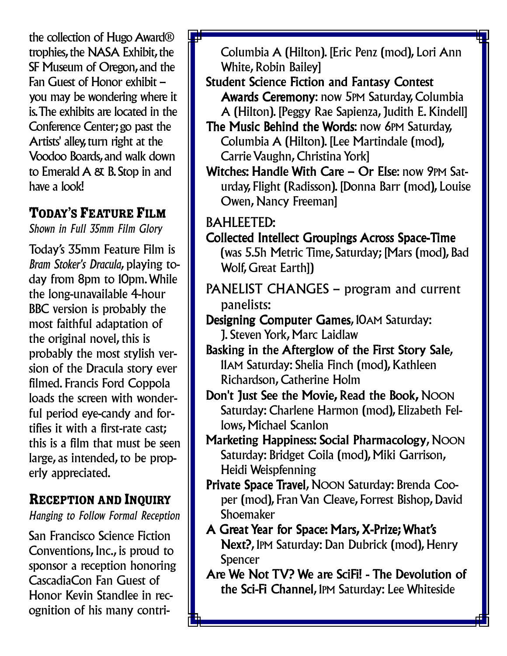the collection of Hugo Award<sup>®</sup> trophies, the NASA Exhibit, the SF Museum of Oregon, and the Fan Guest of Honor exhibit – you may be wondering where it is.The exhibits are located in the Conference Center; go past the Artists' alley,turn right at the Voodoo Boards, and walk down to Emerald  $A \& B$ . Stop in and have a look!

#### TODAY'S FEATURE FILM

*Shown in Full 35mm Film Glory*

Today's 35mm Feature Film is *Bram Stoker's Dracula*, playing today from 8pm to 10pm.While the long-unavailable 4-hour BBC version is probably the most faithful adaptation of the original novel, this is probably the most stylish version of the Dracula story ever filmed. Francis Ford Coppola loads the screen with wonderful period eye-candy and fortifies it with a first-rate cast; this is a film that must be seen large, as intended, to be properly appreciated.

# RECEPTION AND INQUIRY

*Hanging to Follow Formal Reception*

San Francisco Science Fiction Conventions, Inc., is proud to sponsor a reception honoring CascadiaCon Fan Guest of Honor Kevin Standlee in recognition of his many contriColumbia A (Hilton). [Eric Penz (mod), Lori Ann White, Robin Bailey]

- Student Science Fiction and Fantasy Contest Awards Ceremony: now 5PM Saturday, Columbia A (Hilton). [Peggy Rae Sapienza, Judith E. Kindell]
- The Music Behind the Words: now 6PM Saturday, Columbia A (Hilton). [Lee Martindale (mod), Carrie Vaughn, Christina Yorkl
- Witches: Handle With Care Or Else: now 9PM Saturday, Flight (Radisson). [Donna Barr (mod), Louise Owen, Nancy Freeman]

BAHLEETED:

- Collected Intellect Groupings Across Space-Time (was 5.5h Metric Time, Saturday; [Mars (mod), Bad Wolf, Great Earth])
- PANELIST CHANGES program and current panelists:
- Designing Computer Games, 10AM Saturday: J. Steven York, Marc Laidlaw
- Basking in the Afterglow of the First Story Sale, 11AM Saturday: Shelia Finch (mod), Kathleen Richardson, Catherine Holm
- Don't Just See the Movie, Read the Book, NOON Saturday: Charlene Harmon (mod), Elizabeth Fellows, Michael Scanlon
- Marketing Happiness: Social Pharmacology, NOON Saturday: Bridget Coila (mod), Miki Garrison, Heidi Weispfenning
- Private Space Travel, NOON Saturday: Brenda Cooper (mod), Fran Van Cleave, Forrest Bishop, David **Shoemaker**
- A Great Year for Space: Mars, X-Prize; What's Next?, 1PM Saturday: Dan Dubrick (mod), Henry Spencer
- Are We Not TV? We are SciFi! The Devolution of the Sci-Fi Channel, 1PM Saturday: Lee Whiteside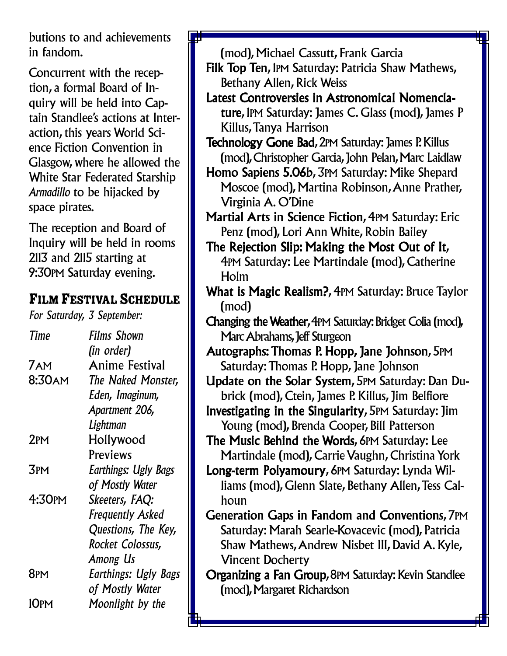butions to and achievements in fandom.

Concurrent with the reception, a formal Board of Inquiry will be held into Captain Standlee's actions at Interaction, this years World Science Fiction Convention in Glasgow, where he allowed the White Star Federated Starship *Armadillo* to be hijacked by space pirates.

The reception and Board of Inquiry will be held in rooms 2113 and 2115 starting at 9:30PM Saturday evening.

#### FILM FESTIVAL SCHEDULE

*For Saturday, 3 September:*

*Time Films Shown (in order)* 7AM Anime Festival 8:30AM *The Naked Monster, Eden, Imaginum, Apartment 206, Lightman* 2PM Hollywood **Previews** 3PM *Earthings: Ugly Bags of Mostly Water* 4:30PM *Skeeters, FAQ: Frequently Asked Questions, The Key, Rocket Colossus, Among Us* 8PM *Earthings: Ugly Bags of Mostly Water* 10PM *Moonlight by the*

(mod), Michael Cassutt, Frank Garcia Filk Top Ten, 1PM Saturday: Patricia Shaw Mathews, Bethany Allen, Rick Weiss Latest Controversies in Astronomical Nomenclature, IPM Saturday: James C. Glass (mod), James P Killus,Tanya Harrison Technology Gone Bad, 2PM Saturday: James P. Killus (mod), Christopher Garcia, John Pelan, Marc Laidlaw Homo Sapiens 5.06b, 3PM Saturday: Mike Shepard Moscoe (mod), Martina Robinson,Anne Prather, Virginia A. O'Dine Martial Arts in Science Fiction, 4PM Saturday: Eric Penz (mod), Lori Ann White, Robin Bailey The Rejection Slip: Making the Most Out of It, 4PM Saturday: Lee Martindale (mod), Catherine Holm What is Magic Realism?, 4PM Saturday: Bruce Taylor (mod) Changing theWeather,4PM Saturday:Bridget Colia (mod), Marc Abrahams, Jeff Sturgeon Autographs: Thomas P. Hopp, Jane Johnson, 5PM Saturday: Thomas P. Hopp, Jane Johnson Update on the Solar System, 5PM Saturday: Dan Dubrick (mod), Ctein, James P. Killus, Jim Belfiore Investigating in the Singularity, 5PM Saturday: Jim Young (mod), Brenda Cooper, Bill Patterson The Music Behind the Words, 6PM Saturday: Lee Martindale (mod), Carrie Vaughn, Christina York

Long-term Polyamoury, 6PM Saturday: Lynda Williams (mod), Glenn Slate, Bethany Allen,Tess Calhoun

Generation Gaps in Fandom and Conventions, 7PM Saturday: Marah Searle-Kovacevic (mod), Patricia Shaw Mathews,Andrew Nisbet III, David A. Kyle, Vincent Docherty

Organizing a Fan Group, 8PM Saturday: Kevin Standlee (mod), Margaret Richardson